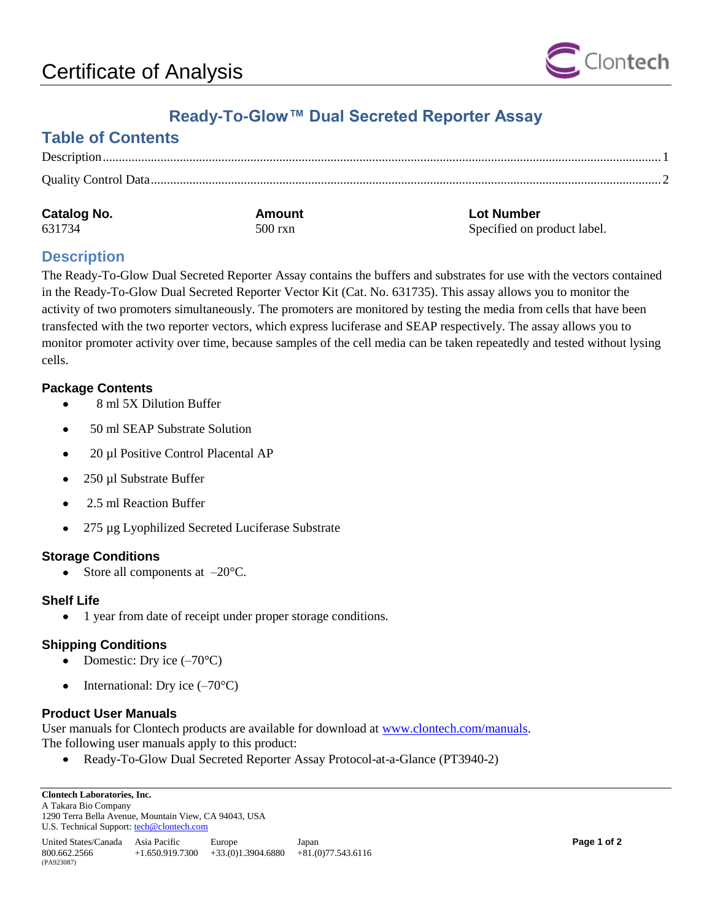

# **Ready-To-Glow™ Dual Secreted Reporter Assay**

# **Table of Contents**

| <b>Catalog No.</b> | Amount  | <b>Lot Number</b>           |
|--------------------|---------|-----------------------------|
| 631734             | 500 rxn | Specified on product label. |

## <span id="page-0-0"></span>**Description**

The Ready-To-Glow Dual Secreted Reporter Assay contains the buffers and substrates for use with the vectors contained in the Ready-To-Glow Dual Secreted Reporter Vector Kit (Cat. No. 631735). This assay allows you to monitor the activity of two promoters simultaneously. The promoters are monitored by testing the media from cells that have been transfected with the two reporter vectors, which express luciferase and SEAP respectively. The assay allows you to monitor promoter activity over time, because samples of the cell media can be taken repeatedly and tested without lysing cells.

#### **Package Contents**

- 8 ml 5X Dilution Buffer
- 50 ml SEAP Substrate Solution  $\bullet$
- 20 µl Positive Control Placental AP
- 250 µl Substrate Buffer  $\bullet$
- $\bullet$ 2.5 ml Reaction Buffer
- 275 µg Lyophilized Secreted Luciferase Substrate  $\bullet$

#### **Storage Conditions**

Store all components at –20°C.  $\bullet$ 

#### **Shelf Life**

1 year from date of receipt under proper storage conditions.

#### **Shipping Conditions**

- Domestic: Dry ice (–70°C)  $\bullet$
- International: Dry ice (–70°C)  $\bullet$

#### **Product User Manuals**

User manuals for Clontech products are available for download at [www.clontech.com/manuals.](http://www.clontech.com/manuals) The following user manuals apply to this product:

Ready-To-Glow Dual Secreted Reporter Assay Protocol-at-a-Glance (PT3940-2)